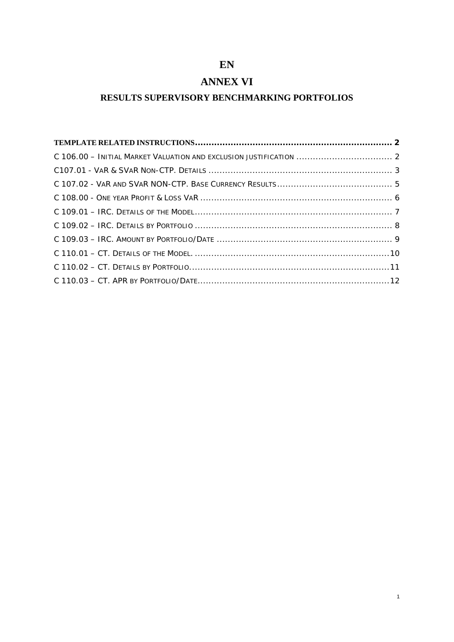# **EN**

# **ANNEX VI**

## **RESULTS SUPERVISORY BENCHMARKING PORTFOLIOS**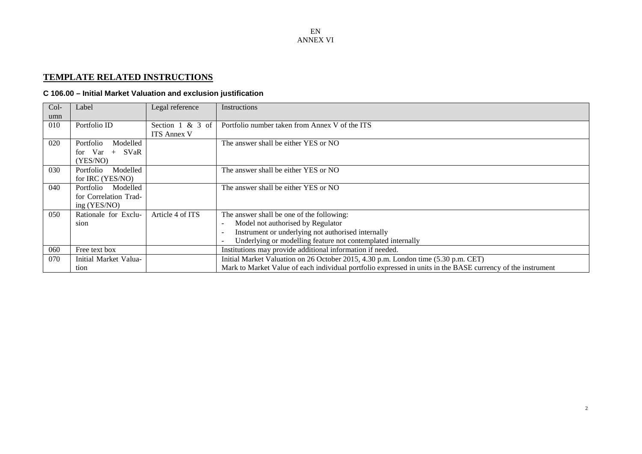## **TEMPLATE RELATED INSTRUCTIONS**

## **C 106.00 – Initial Market Valuation and exclusion justification**

<span id="page-1-1"></span><span id="page-1-0"></span>

| Col- | Label                 | Legal reference     | Instructions                                                                                                |
|------|-----------------------|---------------------|-------------------------------------------------------------------------------------------------------------|
| umn  |                       |                     |                                                                                                             |
| 010  | Portfolio ID          | Section $1 \& 3$ of | Portfolio number taken from Annex V of the ITS                                                              |
|      |                       | <b>ITS Annex V</b>  |                                                                                                             |
| 020  | Modelled<br>Portfolio |                     | The answer shall be either YES or NO                                                                        |
|      | for $Var +$<br>SVaR   |                     |                                                                                                             |
|      | YES/NO)               |                     |                                                                                                             |
| 030  | Portfolio<br>Modelled |                     | The answer shall be either YES or NO                                                                        |
|      | for IRC (YES/NO)      |                     |                                                                                                             |
| 040  | Portfolio<br>Modelled |                     | The answer shall be either YES or NO                                                                        |
|      | for Correlation Trad- |                     |                                                                                                             |
|      | ing (YES/NO)          |                     |                                                                                                             |
| 050  | Rationale for Exclu-  | Article 4 of ITS    | The answer shall be one of the following:                                                                   |
|      | sion                  |                     | Model not authorised by Regulator<br>$\overline{\phantom{a}}$                                               |
|      |                       |                     | Instrument or underlying not authorised internally<br>$\overline{\phantom{a}}$                              |
|      |                       |                     | Underlying or modelling feature not contemplated internally                                                 |
| 060  | Free text box         |                     | Institutions may provide additional information if needed.                                                  |
| 070  | Initial Market Valua- |                     | Initial Market Valuation on 26 October 2015, 4.30 p.m. London time (5.30 p.m. CET)                          |
|      | tion                  |                     | Mark to Market Value of each individual portfolio expressed in units in the BASE currency of the instrument |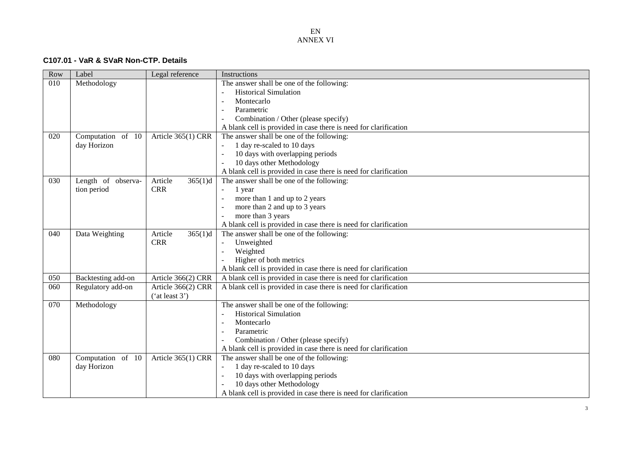#### **C107.01 - VaR & SVaR Non -CTP . Details**

<span id="page-2-0"></span>

| Row | Label              | Legal reference    | Instructions                                                     |
|-----|--------------------|--------------------|------------------------------------------------------------------|
| 010 | Methodology        |                    | The answer shall be one of the following:                        |
|     |                    |                    | <b>Historical Simulation</b>                                     |
|     |                    |                    | Montecarlo<br>$\overline{\phantom{a}}$                           |
|     |                    |                    | Parametric<br>$\overline{\phantom{a}}$                           |
|     |                    |                    | Combination / Other (please specify)<br>$\overline{\phantom{a}}$ |
|     |                    |                    | A blank cell is provided in case there is need for clarification |
| 020 | Computation of 10  | Article 365(1) CRR | The answer shall be one of the following:                        |
|     | day Horizon        |                    | 1 day re-scaled to 10 days                                       |
|     |                    |                    | 10 days with overlapping periods<br>$\sim$                       |
|     |                    |                    | 10 days other Methodology<br>$\overline{\phantom{a}}$            |
|     |                    |                    | A blank cell is provided in case there is need for clarification |
| 030 | Length of observa- | Article<br>365(1)d | The answer shall be one of the following:                        |
|     | tion period        | <b>CRR</b>         | 1 year<br>$\sim$                                                 |
|     |                    |                    | more than 1 and up to 2 years<br>$\sim$                          |
|     |                    |                    | more than 2 and up to 3 years<br>$\overline{a}$                  |
|     |                    |                    | more than 3 years                                                |
|     |                    |                    | A blank cell is provided in case there is need for clarification |
| 040 | Data Weighting     | Article<br>365(1)d | The answer shall be one of the following:                        |
|     |                    | <b>CRR</b>         | Unweighted                                                       |
|     |                    |                    | Weighted<br>$\overline{a}$                                       |
|     |                    |                    | Higher of both metrics                                           |
|     |                    |                    | A blank cell is provided in case there is need for clarification |
| 050 | Backtesting add-on | Article 366(2) CRR | A blank cell is provided in case there is need for clarification |
| 060 | Regulatory add-on  | Article 366(2) CRR | A blank cell is provided in case there is need for clarification |
|     |                    | ('at least 3')     |                                                                  |
| 070 | Methodology        |                    | The answer shall be one of the following:                        |
|     |                    |                    | <b>Historical Simulation</b><br>$\overline{\phantom{a}}$         |
|     |                    |                    | Montecarlo<br>$\overline{\phantom{a}}$                           |
|     |                    |                    | Parametric<br>$\overline{\phantom{a}}$                           |
|     |                    |                    | Combination / Other (please specify)                             |
|     |                    |                    | A blank cell is provided in case there is need for clarification |
| 080 | Computation of 10  | Article 365(1) CRR | The answer shall be one of the following:                        |
|     | day Horizon        |                    | 1 day re-scaled to 10 days                                       |
|     |                    |                    | 10 days with overlapping periods<br>$\overline{\phantom{a}}$     |
|     |                    |                    | 10 days other Methodology                                        |
|     |                    |                    | A blank cell is provided in case there is need for clarification |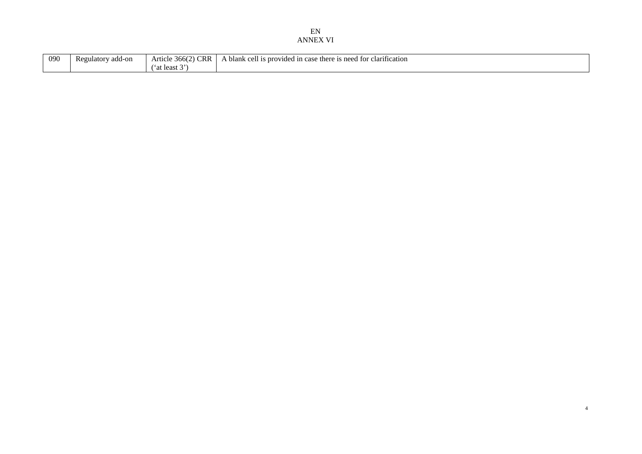| 090 | add-on<br>Regulatory | $\sim$<br>$\sim$<br>∪K.K<br>366<br>Article<br>$\ldots$ | clarification<br>i is provided<br>blank<br>; need<br>. for<br>0.011<br>there<br>1n<br>case<br>$\Delta$ 10<br><b>UU</b><br>-cise<br>. |
|-----|----------------------|--------------------------------------------------------|--------------------------------------------------------------------------------------------------------------------------------------|
|     |                      | <b>. .</b><br>at least 3                               |                                                                                                                                      |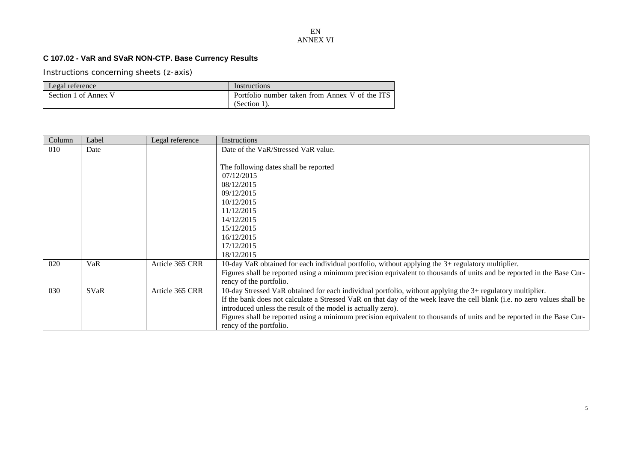## **C 107.02 - VaR and SVaR NON-CTP. Base Currency Results**

| Legal reference      | Instructions                                   |
|----------------------|------------------------------------------------|
| Section 1 of Annex V | Portfolio number taken from Annex V of the ITS |
|                      | $(Section 1)$ .                                |

<span id="page-4-0"></span>

| Column | Label | Legal reference | Instructions                                                                                                             |
|--------|-------|-----------------|--------------------------------------------------------------------------------------------------------------------------|
| 010    | Date  |                 | Date of the VaR/Stressed VaR value.                                                                                      |
|        |       |                 |                                                                                                                          |
|        |       |                 | The following dates shall be reported                                                                                    |
|        |       |                 | 07/12/2015                                                                                                               |
|        |       |                 | 08/12/2015                                                                                                               |
|        |       |                 | 09/12/2015                                                                                                               |
|        |       |                 | 10/12/2015                                                                                                               |
|        |       |                 | 11/12/2015                                                                                                               |
|        |       |                 | 14/12/2015                                                                                                               |
|        |       |                 | 15/12/2015                                                                                                               |
|        |       |                 | 16/12/2015                                                                                                               |
|        |       |                 | 17/12/2015                                                                                                               |
|        |       |                 | 18/12/2015                                                                                                               |
| 020    | VaR   | Article 365 CRR | 10-day VaR obtained for each individual portfolio, without applying the 3+ regulatory multiplier.                        |
|        |       |                 | Figures shall be reported using a minimum precision equivalent to thousands of units and be reported in the Base Cur-    |
|        |       |                 | rency of the portfolio.                                                                                                  |
| 030    | SVaR  | Article 365 CRR | 10-day Stressed VaR obtained for each individual portfolio, without applying the 3+ regulatory multiplier.               |
|        |       |                 | If the bank does not calculate a Stressed VaR on that day of the week leave the cell blank (i.e. no zero values shall be |
|        |       |                 | introduced unless the result of the model is actually zero).                                                             |
|        |       |                 | Figures shall be reported using a minimum precision equivalent to thousands of units and be reported in the Base Cur-    |
|        |       |                 | rency of the portfolio.                                                                                                  |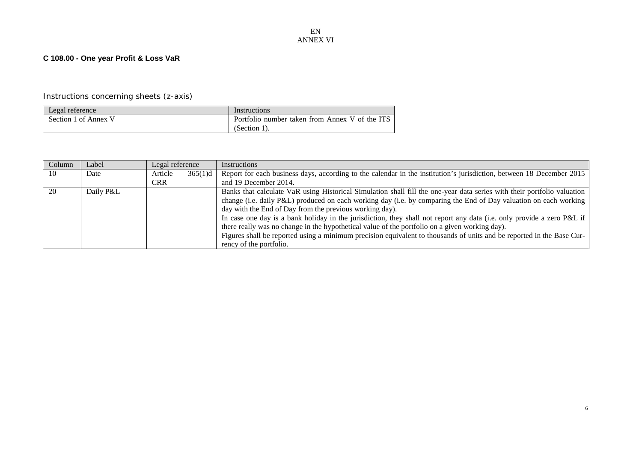### **C 108.00 - One year Profit & Loss VaR**

### Instructions concerning sheets (z-axis)

| Legal reference      | Instructions                                   |
|----------------------|------------------------------------------------|
| Section 1 of Annex V | Portfolio number taken from Annex V of the ITS |
|                      | $(Section 1)$ .                                |

<span id="page-5-0"></span>

| Column | Label     | Legal reference |         | <b>Instructions</b>                                                                                                     |
|--------|-----------|-----------------|---------|-------------------------------------------------------------------------------------------------------------------------|
| -10    | Date      | Article         | 365(1)d | Report for each business days, according to the calendar in the institution's jurisdiction, between 18 December 2015    |
|        |           | <b>CRR</b>      |         | and 19 December 2014.                                                                                                   |
| 20     | Daily P&L |                 |         | Banks that calculate VaR using Historical Simulation shall fill the one-year data series with their portfolio valuation |
|        |           |                 |         | change (i.e. daily P&L) produced on each working day (i.e. by comparing the End of Day valuation on each working        |
|        |           |                 |         | day with the End of Day from the previous working day).                                                                 |
|        |           |                 |         | In case one day is a bank holiday in the jurisdiction, they shall not report any data (i.e. only provide a zero P&L if  |
|        |           |                 |         | there really was no change in the hypothetical value of the portfolio on a given working day).                          |
|        |           |                 |         | Figures shall be reported using a minimum precision equivalent to thousands of units and be reported in the Base Cur-   |
|        |           |                 |         | rency of the portfolio.                                                                                                 |

6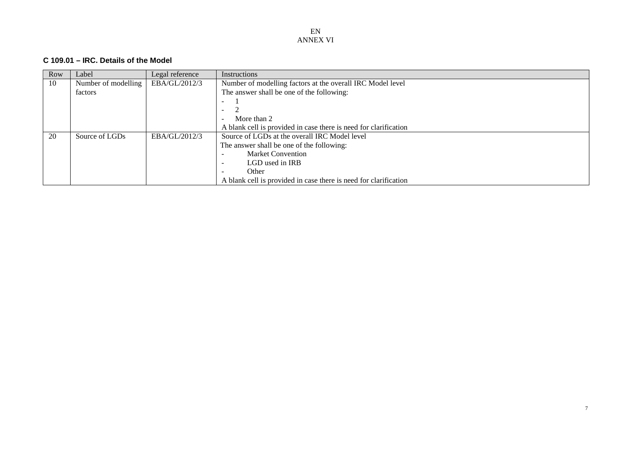#### **C 109.01 – IRC. Details of the Model**

<span id="page-6-0"></span>

| Row | Label               | Legal reference | <b>Instructions</b>                                              |
|-----|---------------------|-----------------|------------------------------------------------------------------|
| 10  | Number of modelling | EBA/GL/2012/3   | Number of modelling factors at the overall IRC Model level       |
|     | factors             |                 | The answer shall be one of the following:                        |
|     |                     |                 | $\overline{\phantom{0}}$                                         |
|     |                     |                 |                                                                  |
|     |                     |                 | More than 2                                                      |
|     |                     |                 | A blank cell is provided in case there is need for clarification |
| 20  | Source of LGDs      | EBA/GL/2012/3   | Source of LGDs at the overall IRC Model level                    |
|     |                     |                 | The answer shall be one of the following:                        |
|     |                     |                 | <b>Market Convention</b>                                         |
|     |                     |                 | LGD used in IRB                                                  |
|     |                     |                 | Other                                                            |
|     |                     |                 | A blank cell is provided in case there is need for clarification |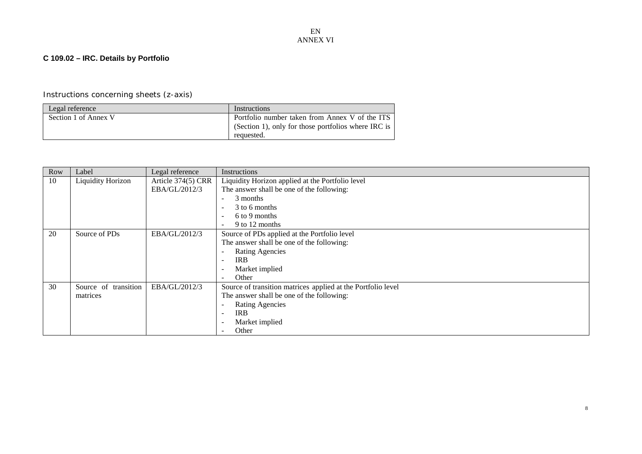## **C 109.02 – IRC. Details by Portfolio**

# Instructions concerning sheets (z-axis)

| Legal reference      | Instructions                                        |
|----------------------|-----------------------------------------------------|
| Section 1 of Annex V | Portfolio number taken from Annex V of the ITS      |
|                      | (Section 1), only for those portfolios where IRC is |
|                      | requested.                                          |

<span id="page-7-0"></span>

| Row | Label                | Legal reference    | Instructions                                                 |  |  |
|-----|----------------------|--------------------|--------------------------------------------------------------|--|--|
| 10  | Liquidity Horizon    | Article 374(5) CRR | Liquidity Horizon applied at the Portfolio level             |  |  |
|     |                      | EBA/GL/2012/3      | The answer shall be one of the following:                    |  |  |
|     |                      |                    | 3 months<br>$\overline{\phantom{a}}$                         |  |  |
|     |                      |                    | 3 to 6 months<br>$\overline{\phantom{a}}$                    |  |  |
|     |                      |                    | 6 to 9 months<br>$\overline{\phantom{a}}$                    |  |  |
|     |                      |                    | 9 to 12 months<br>$\overline{\phantom{a}}$                   |  |  |
| 20  | Source of PDs        | EBA/GL/2012/3      | Source of PDs applied at the Portfolio level                 |  |  |
|     |                      |                    | The answer shall be one of the following:                    |  |  |
|     |                      |                    | <b>Rating Agencies</b>                                       |  |  |
|     |                      |                    | <b>IRB</b>                                                   |  |  |
|     |                      |                    | Market implied<br>$\overline{\phantom{a}}$                   |  |  |
|     |                      |                    | Other                                                        |  |  |
| 30  | Source of transition | EBA/GL/2012/3      | Source of transition matrices applied at the Portfolio level |  |  |
|     | matrices             |                    | The answer shall be one of the following:                    |  |  |
|     |                      |                    | <b>Rating Agencies</b><br>$\overline{\phantom{a}}$           |  |  |
|     |                      |                    | <b>IRB</b>                                                   |  |  |
|     |                      |                    | Market implied                                               |  |  |
|     |                      |                    | Other                                                        |  |  |

8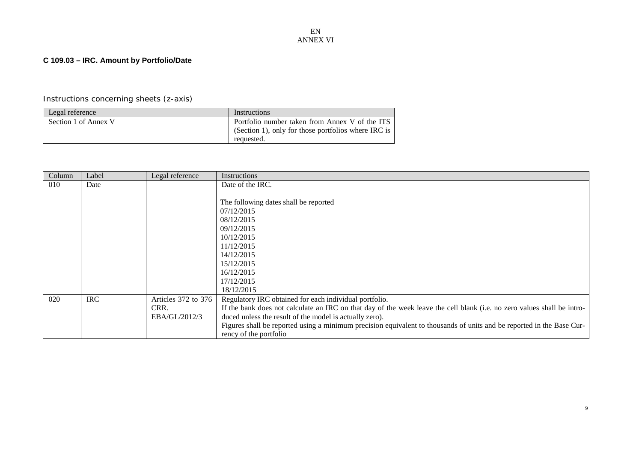## **C 109.03 – IRC. Amount by Portfolio/Date**

| Legal reference      | Instructions                                                                                          |
|----------------------|-------------------------------------------------------------------------------------------------------|
| Section 1 of Annex V | Portfolio number taken from Annex V of the ITS<br>(Section 1), only for those portfolios where IRC is |
|                      | requested.                                                                                            |

<span id="page-8-0"></span>

| Column | Label      | Legal reference     | Instructions                                                                                                            |
|--------|------------|---------------------|-------------------------------------------------------------------------------------------------------------------------|
| 010    | Date       |                     | Date of the IRC.                                                                                                        |
|        |            |                     |                                                                                                                         |
|        |            |                     | The following dates shall be reported                                                                                   |
|        |            |                     | 07/12/2015                                                                                                              |
|        |            |                     | 08/12/2015                                                                                                              |
|        |            |                     | 09/12/2015                                                                                                              |
|        |            |                     | 10/12/2015                                                                                                              |
|        |            |                     | 11/12/2015                                                                                                              |
|        |            |                     | 14/12/2015                                                                                                              |
|        |            |                     | 15/12/2015                                                                                                              |
|        |            |                     | 16/12/2015                                                                                                              |
|        |            |                     | 17/12/2015                                                                                                              |
|        |            |                     | 18/12/2015                                                                                                              |
| 020    | <b>IRC</b> | Articles 372 to 376 | Regulatory IRC obtained for each individual portfolio.                                                                  |
|        |            | CRR.                | If the bank does not calculate an IRC on that day of the week leave the cell blank (i.e. no zero values shall be intro- |
|        |            | EBA/GL/2012/3       | duced unless the result of the model is actually zero).                                                                 |
|        |            |                     | Figures shall be reported using a minimum precision equivalent to thousands of units and be reported in the Base Cur-   |
|        |            |                     | rency of the portfolio                                                                                                  |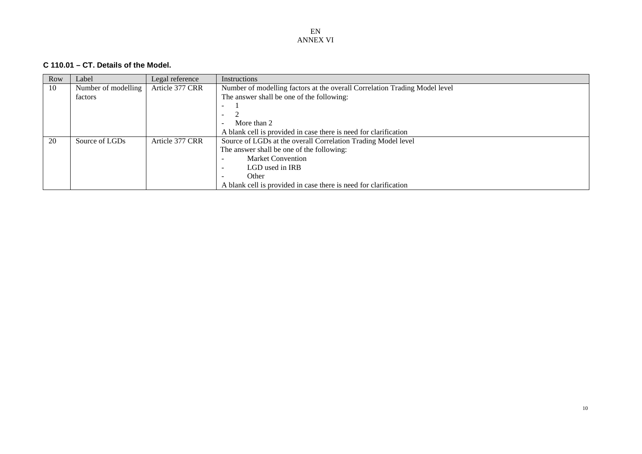### **C 110.01 – CT. Details of the Model.**

<span id="page-9-0"></span>

| Row | Label               | Legal reference | <b>Instructions</b>                                                        |
|-----|---------------------|-----------------|----------------------------------------------------------------------------|
| 10  | Number of modelling | Article 377 CRR | Number of modelling factors at the overall Correlation Trading Model level |
|     | factors             |                 | The answer shall be one of the following:                                  |
|     |                     |                 |                                                                            |
|     |                     |                 |                                                                            |
|     |                     |                 | More than 2                                                                |
|     |                     |                 | A blank cell is provided in case there is need for clarification           |
| 20  | Source of LGDs      | Article 377 CRR | Source of LGDs at the overall Correlation Trading Model level              |
|     |                     |                 | The answer shall be one of the following:                                  |
|     |                     |                 | <b>Market Convention</b>                                                   |
|     |                     |                 | LGD used in IRB<br>-                                                       |
|     |                     |                 | Other                                                                      |
|     |                     |                 | A blank cell is provided in case there is need for clarification           |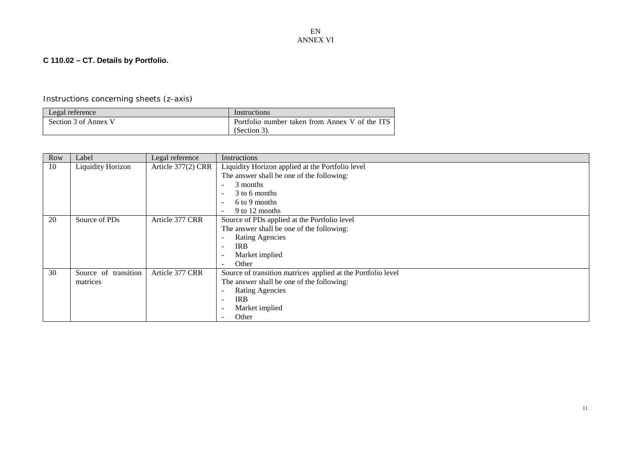## **C 110.02 – CT. Details by Portfolio.**

| Legal reference      | Instructions                                   |
|----------------------|------------------------------------------------|
| Section 3 of Annex V | Portfolio number taken from Annex V of the ITS |
|                      | (Section 3).                                   |

<span id="page-10-0"></span>

| <b>Row</b> | Label                | Legal reference    | Instructions                                                 |
|------------|----------------------|--------------------|--------------------------------------------------------------|
| 10         | Liquidity Horizon    | Article 377(2) CRR | Liquidity Horizon applied at the Portfolio level             |
|            |                      |                    | The answer shall be one of the following:                    |
|            |                      |                    | 3 months                                                     |
|            |                      |                    | 3 to 6 months<br>$\overline{\phantom{a}}$                    |
|            |                      |                    | 6 to 9 months<br>$\overline{\phantom{a}}$                    |
|            |                      |                    | 9 to 12 months                                               |
| 20         | Source of PDs        | Article 377 CRR    | Source of PDs applied at the Portfolio level                 |
|            |                      |                    | The answer shall be one of the following:                    |
|            |                      |                    | <b>Rating Agencies</b>                                       |
|            |                      |                    | <b>IRB</b><br>$\overline{\phantom{a}}$                       |
|            |                      |                    | Market implied                                               |
|            |                      |                    | Other                                                        |
| 30         | Source of transition | Article 377 CRR    | Source of transition matrices applied at the Portfolio level |
|            | matrices             |                    | The answer shall be one of the following:                    |
|            |                      |                    | <b>Rating Agencies</b><br>$\overline{\phantom{0}}$           |
|            |                      |                    | <b>IRB</b>                                                   |
|            |                      |                    | Market implied                                               |
|            |                      |                    | Other                                                        |